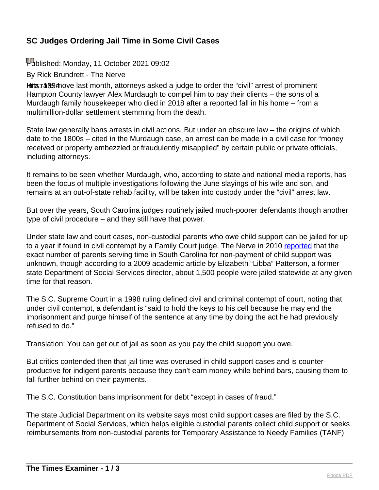# **SC Judges Ordering Jail Time in Some Civil Cases**

Published: Monday, 11 October 2021 09:02

By Rick Brundrett - The Nerve

Hits: race move last month, attorneys asked a judge to order the "civil" arrest of prominent Hampton County lawyer Alex Murdaugh to compel him to pay their clients – the sons of a Murdaugh family housekeeper who died in 2018 after a reported fall in his home – from a multimillion-dollar settlement stemming from the death.

State law generally bans arrests in civil actions. But under an obscure law – the origins of which date to the 1800s – cited in the Murdaugh case, an arrest can be made in a civil case for "money received or property embezzled or fraudulently misapplied" by certain public or private officials, including attorneys.

It remains to be seen whether Murdaugh, who, according to state and national media reports, has been the focus of multiple investigations following the June slayings of his wife and son, and remains at an out-of-state rehab facility, will be taken into custody under the "civil" arrest law.

But over the years, South Carolina judges routinely jailed much-poorer defendants though another type of civil procedure – and they still have that power.

Under state law and court cases, non-custodial parents who owe child support can be jailed for up to a year if found in civil contempt by a Family Court judge. The Nerve in 2010 [reported](https://thenerve.org/indigent-father-appeals-to-u-s-supreme-court/) that the exact number of parents serving time in South Carolina for non-payment of child support was unknown, though according to a 2009 academic article by Elizabeth "Libba" Patterson, a former state Department of Social Services director, about 1,500 people were jailed statewide at any given time for that reason.

The S.C. Supreme Court in a 1998 ruling defined civil and criminal contempt of court, noting that under civil contempt, a defendant is "said to hold the keys to his cell because he may end the imprisonment and purge himself of the sentence at any time by doing the act he had previously refused to do."

Translation: You can get out of jail as soon as you pay the child support you owe.

But critics contended then that jail time was overused in child support cases and is counterproductive for indigent parents because they can't earn money while behind bars, causing them to fall further behind on their payments.

The S.C. Constitution bans imprisonment for debt "except in cases of fraud."

The state Judicial Department on its website says most child support cases are filed by the S.C. Department of Social Services, which helps eligible custodial parents collect child support or seeks reimbursements from non-custodial parents for Temporary Assistance to Needy Families (TANF)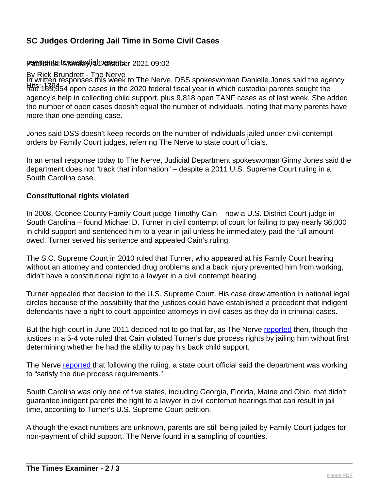#### **SC Judges Ordering Jail Time in Some Civil Cases**

#### Pawmenta: twewetoglial parentser 2021 09:02

# By Rick Brundrett - The Nerve

Hits: 1394 had 165,654 open cases in the 2020 federal fiscal year in which custodial parents sought the In written responses this week to The Nerve, DSS spokeswoman Danielle Jones said the agency agency's help in collecting child support, plus 9,818 open TANF cases as of last week. She added the number of open cases doesn't equal the number of individuals, noting that many parents have more than one pending case.

Jones said DSS doesn't keep records on the number of individuals jailed under civil contempt orders by Family Court judges, referring The Nerve to state court officials.

In an email response today to The Nerve, Judicial Department spokeswoman Ginny Jones said the department does not "track that information" – despite a 2011 U.S. Supreme Court ruling in a South Carolina case.

#### **Constitutional rights violated**

In 2008, Oconee County Family Court judge Timothy Cain – now a U.S. District Court judge in South Carolina – found Michael D. Turner in civil contempt of court for failing to pay nearly \$6,000 in child support and sentenced him to a year in jail unless he immediately paid the full amount owed. Turner served his sentence and appealed Cain's ruling.

The S.C. Supreme Court in 2010 ruled that Turner, who appeared at his Family Court hearing without an attorney and contended drug problems and a back injury prevented him from working, didn't have a constitutional right to a lawyer in a civil contempt hearing.

Turner appealed that decision to the U.S. Supreme Court. His case drew attention in national legal circles because of the possibility that the justices could have established a precedent that indigent defendants have a right to court-appointed attorneys in civil cases as they do in criminal cases.

But the high court in June 2011 decided not to go that far, as The Nerve [reported](https://thenerve.org/nations-top-court-rules-in-favor-of-s-c-indigent-parent/) then, though the justices in a 5-4 vote ruled that Cain violated Turner's due process rights by jailing him without first determining whether he had the ability to pay his back child support.

The Nerve [reported](https://thenerve.org/court-ruling-spurs-changes-in-child-support-cases/) that following the ruling, a state court official said the department was working to "satisfy the due process requirements."

South Carolina was only one of five states, including Georgia, Florida, Maine and Ohio, that didn't guarantee indigent parents the right to a lawyer in civil contempt hearings that can result in jail time, according to Turner's U.S. Supreme Court petition.

Although the exact numbers are unknown, parents are still being jailed by Family Court judges for non-payment of child support, The Nerve found in a sampling of counties.